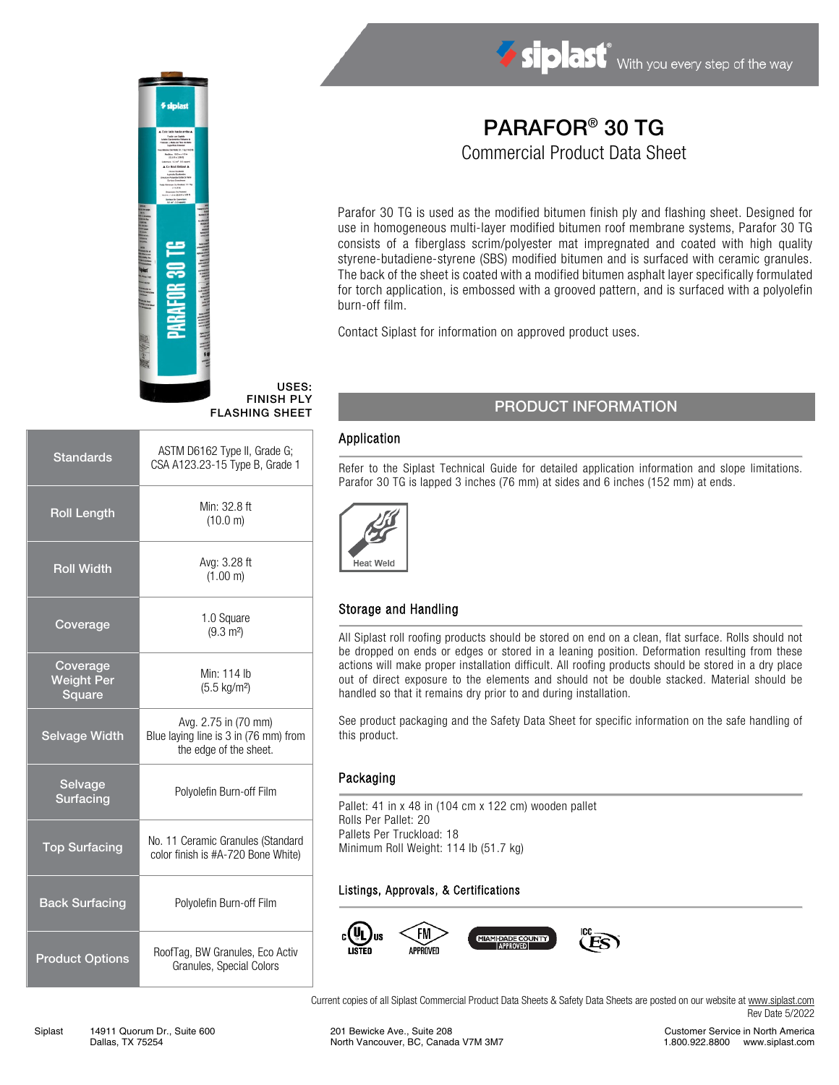

# PARAFOR® 30 TG

Commercial Product Data Sheet

Parafor 30 TG is used as the modified bitumen finish ply and flashing sheet. Designed for use in homogeneous multi-layer modified bitumen roof membrane systems, Parafor 30 TG consists of a fiberglass scrim/polyester mat impregnated and coated with high quality styrene-butadiene-styrene (SBS) modified bitumen and is surfaced with ceramic granules. The back of the sheet is coated with a modified bitumen asphalt layer specifically formulated for torch application, is embossed with a grooved pattern, and is surfaced with a polyolefin burn-off film.

Contact Siplast for information on approved product uses.

### PRODUCT INFORMATION

#### Application

USES:

Refer to the Siplast Technical Guide for detailed application information and slope limitations. Parafor 30 TG is lapped 3 inches (76 mm) at sides and 6 inches (152 mm) at ends.



#### Storage and Handling

All Siplast roll roofing products should be stored on end on a clean, flat surface. Rolls should not be dropped on ends or edges or stored in a leaning position. Deformation resulting from these actions will make proper installation difficult. All roofing products should be stored in a dry place out of direct exposure to the elements and should not be double stacked. Material should be handled so that it remains dry prior to and during installation.

See product packaging and the Safety Data Sheet for specific information on the safe handling of this product.

#### Packaging

Pallet: 41 in x 48 in (104 cm x 122 cm) wooden pallet Rolls Per Pallet: 20 Pallets Per Truckload: 18 Minimum Roll Weight: 114 lb (51.7 kg)

#### Listings, Approvals, & Certifications



Current copies of all Siplast Commercial Product Data Sheets & Safety Data Sheets are posted on our website a[t www.siplast.com](http://www.siplast.com/) Rev Date 5/2022

## Standards ASTM D6162 Type II, Grade G; CSA A123.23-15 Type B, Grade 1 Roll Length Min:  $32.8 \text{ ft}$ (10.0 m) Roll Width Avg: 3.28 ft (1.00 m) Coverage  $1.0$  Square  $1.0$  Square  $(9.3 \text{ m}^2)$ Coverage Weight Per **Square** Min: 114 lb (5.5 kg/m²) FINISH PLY FLASHING SHEET

Selvage Width Avg. 2.75 in (70 mm) Blue laying line is 3 in (76 mm) from the edge of the sheet. Selvage Servage<br>Surfacing Polyolefin Burn-off Film Top Surfacing No. 11 Ceramic Granules (Standard color finish is #A-720 Bone White) Back Surfacing Polyolefin Burn-off Film **Product Options** RoofTag, BW Granules, Eco Activ

Granules, Special Colors